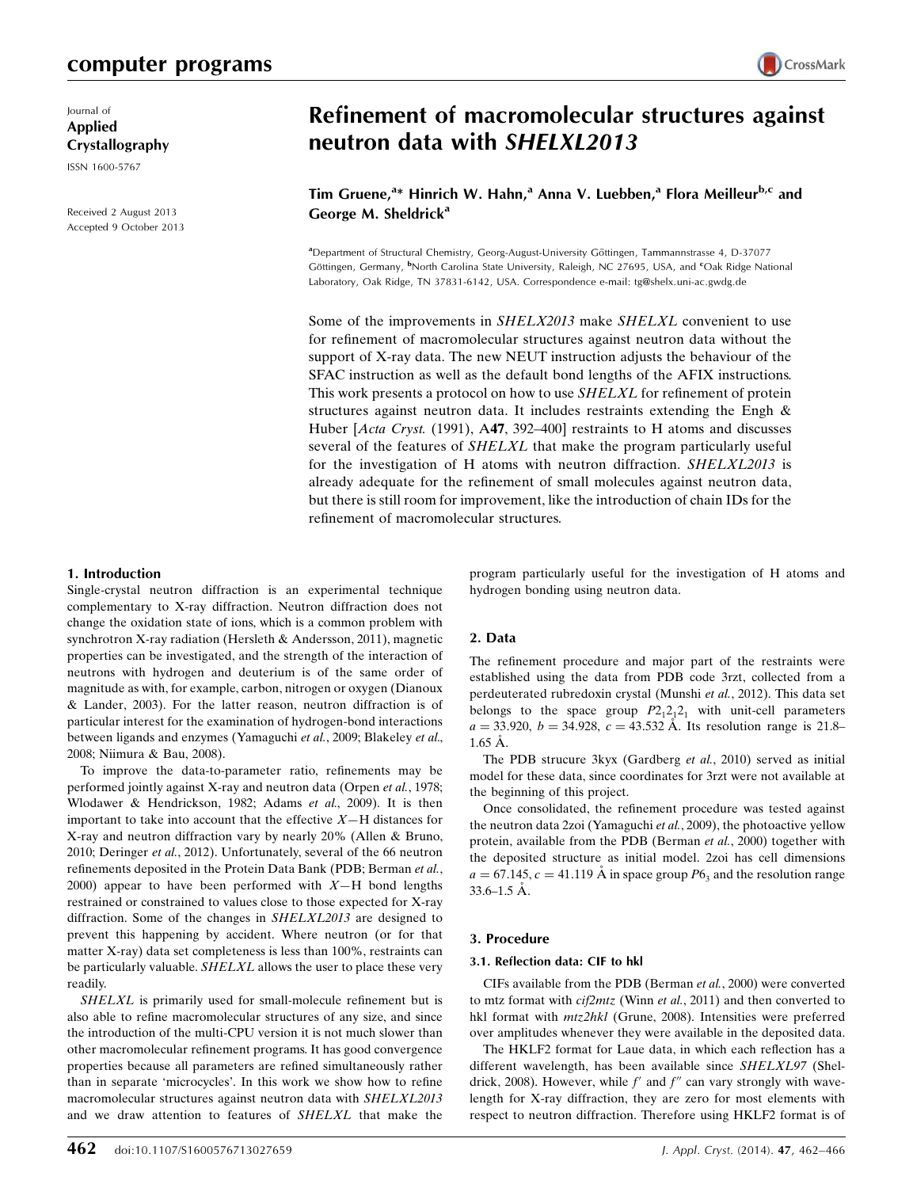# computer programs

Journal of Applied Crystallography

ISSN 1600-5767

Received 2 August 2013 Accepted 9 October 2013

# **CrossMark**

# Refinement of macromolecular structures against neutron data with SHELXL2013

Tim Gruene,<sup>a</sup>\* Hinrich W. Hahn,<sup>a</sup> Anna V. Luebben,<sup>a</sup> Flora Meilleur<sup>b,c</sup> and George M. Sheldrick<sup>a</sup>

<sup>a</sup>Department of Structural Chemistry, Georg-August-University Göttingen, Tammannstrasse 4, D-37077 Göttingen, Germany, <sup>b</sup>North Carolina State University, Raleigh, NC 27695, USA, and <sup>c</sup>Oak Ridge National Laboratory, Oak Ridge, TN 37831-6142, USA. Correspondence e-mail: tg@shelx.uni-ac.gwdg.de

Some of the improvements in SHELX2013 make SHELXL convenient to use for refinement of macromolecular structures against neutron data without the support of X-ray data. The new NEUT instruction adjusts the behaviour of the SFAC instruction as well as the default bond lengths of the AFIX instructions. This work presents a protocol on how to use *SHELXL* for refinement of protein structures against neutron data. It includes restraints extending the Engh & Huber [Acta Cryst. (1991), A47, 392–400] restraints to H atoms and discusses several of the features of SHELXL that make the program particularly useful for the investigation of H atoms with neutron diffraction. SHELXL2013 is already adequate for the refinement of small molecules against neutron data, but there is still room for improvement, like the introduction of chain IDs for the refinement of macromolecular structures.

# 1. Introduction

Single-crystal neutron diffraction is an experimental technique complementary to X-ray diffraction. Neutron diffraction does not change the oxidation state of ions, which is a common problem with synchrotron X-ray radiation (Hersleth & Andersson, 2011), magnetic properties can be investigated, and the strength of the interaction of neutrons with hydrogen and deuterium is of the same order of magnitude as with, for example, carbon, nitrogen or oxygen (Dianoux & Lander, 2003). For the latter reason, neutron diffraction is of particular interest for the examination of hydrogen-bond interactions between ligands and enzymes (Yamaguchi et al., 2009; Blakeley et al., 2008; Niimura & Bau, 2008).

To improve the data-to-parameter ratio, refinements may be performed jointly against X-ray and neutron data (Orpen et al., 1978; Wlodawer & Hendrickson, 1982; Adams et al., 2009). It is then important to take into account that the effective  $X$ —H distances for X-ray and neutron diffraction vary by nearly 20% (Allen & Bruno, 2010; Deringer et al., 2012). Unfortunately, several of the 66 neutron refinements deposited in the Protein Data Bank (PDB; Berman et al., 2000) appear to have been performed with  $X-H$  bond lengths restrained or constrained to values close to those expected for X-ray diffraction. Some of the changes in SHELXL2013 are designed to prevent this happening by accident. Where neutron (or for that matter X-ray) data set completeness is less than 100%, restraints can be particularly valuable. SHELXL allows the user to place these very readily.

SHELXL is primarily used for small-molecule refinement but is also able to refine macromolecular structures of any size, and since the introduction of the multi-CPU version it is not much slower than other macromolecular refinement programs. It has good convergence properties because all parameters are refined simultaneously rather than in separate 'microcycles'. In this work we show how to refine macromolecular structures against neutron data with SHELXL2013 and we draw attention to features of SHELXL that make the program particularly useful for the investigation of H atoms and hydrogen bonding using neutron data.

# 2. Data

The refinement procedure and major part of the restraints were established using the data from PDB code 3rzt, collected from a perdeuterated rubredoxin crystal (Munshi et al., 2012). This data set belongs to the space group  $P2_12_12_1$  with unit-cell parameters  $a = 33.920, b = 34.928, c = 43.532$  Å. Its resolution range is 21.8–  $1.65 \text{ Å}.$ 

The PDB strucure 3kyx (Gardberg et al., 2010) served as initial model for these data, since coordinates for 3rzt were not available at the beginning of this project.

Once consolidated, the refinement procedure was tested against the neutron data 2zoi (Yamaguchi et al., 2009), the photoactive yellow protein, available from the PDB (Berman et al., 2000) together with the deposited structure as initial model. 2zoi has cell dimensions  $a = 67.145$ ,  $c = 41.119$  Å in space group  $P6<sub>3</sub>$  and the resolution range  $33.6 - 1.5$  Å.

# 3. Procedure

# 3.1. Reflection data: CIF to hkl

CIFs available from the PDB (Berman et al., 2000) were converted to mtz format with *cif2mtz* (Winn et al., 2011) and then converted to hkl format with  $mtz2hkl$  (Grune, 2008). Intensities were preferred over amplitudes whenever they were available in the deposited data.

The HKLF2 format for Laue data, in which each reflection has a different wavelength, has been available since SHELXL97 (Sheldrick, 2008). However, while  $f'$  and  $f''$  can vary strongly with wavelength for X-ray diffraction, they are zero for most elements with respect to neutron diffraction. Therefore using HKLF2 format is of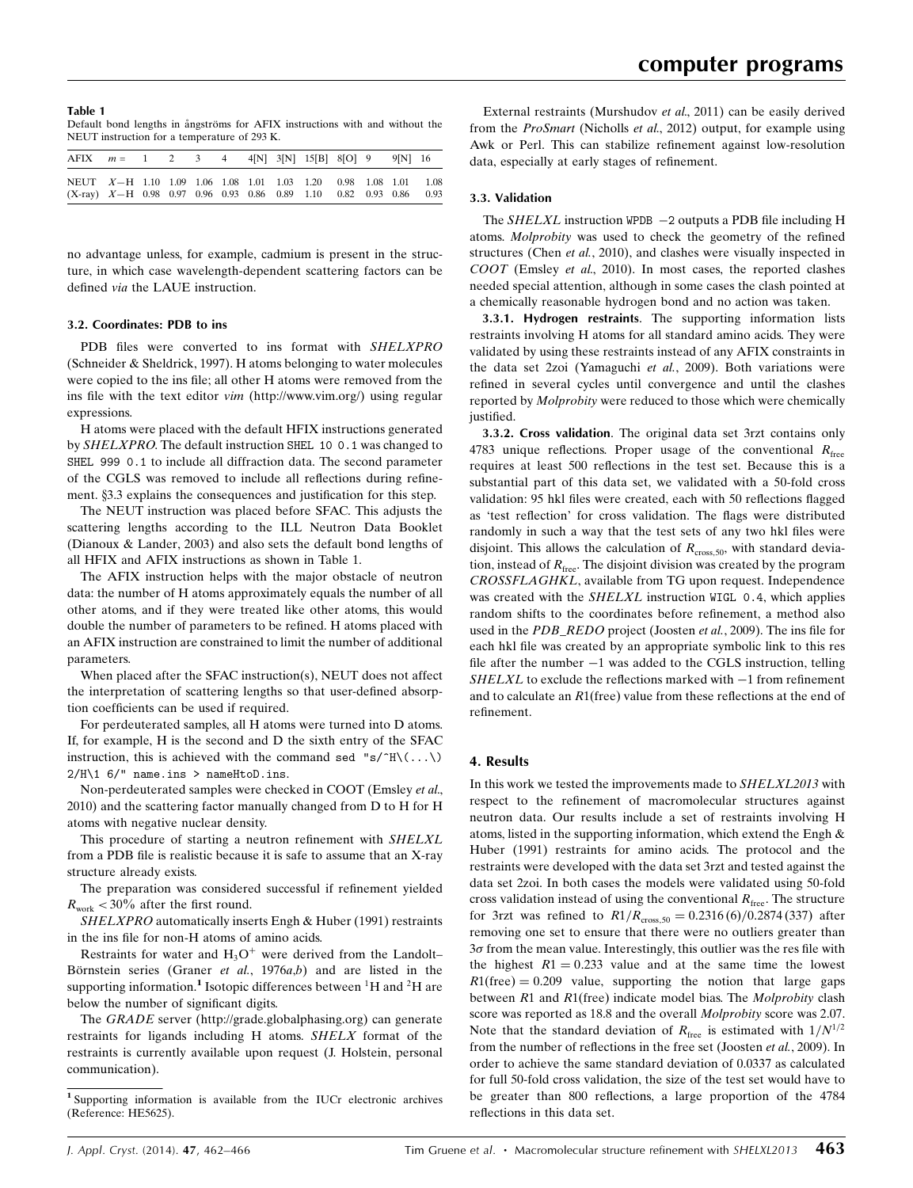#### Table 1

Default bond lengths in ångströms for AFIX instructions with and without the NEUT instruction for a temperature of 293 K.

| AFIX $m = 1$ 2 3 4 4[N] 3[N] 15[B] 8[O] 9                                                                                                 |  |  |  |  |  | 9 N 16 |  |
|-------------------------------------------------------------------------------------------------------------------------------------------|--|--|--|--|--|--------|--|
| NEUT X-H 1.10 1.09 1.06 1.08 1.01 1.03 1.20 0.98 1.08 1.01 1.08<br>$(X-ray)$ $X-H$ 0.98 0.97 0.96 0.93 0.86 0.89 1.10 0.82 0.93 0.86 0.93 |  |  |  |  |  |        |  |

no advantage unless, for example, cadmium is present in the structure, in which case wavelength-dependent scattering factors can be defined via the LAUE instruction.

#### 3.2. Coordinates: PDB to ins

PDB files were converted to ins format with SHELXPRO (Schneider & Sheldrick, 1997). H atoms belonging to water molecules were copied to the ins file; all other H atoms were removed from the ins file with the text editor vim (http://www.vim.org/) using regular expressions.

H atoms were placed with the default HFIX instructions generated by SHELXPRO. The default instruction SHEL 10 0.1 was changed to SHEL 999 0.1 to include all diffraction data. The second parameter of the CGLS was removed to include all reflections during refinement. §3.3 explains the consequences and justification for this step.

The NEUT instruction was placed before SFAC. This adjusts the scattering lengths according to the ILL Neutron Data Booklet (Dianoux & Lander, 2003) and also sets the default bond lengths of all HFIX and AFIX instructions as shown in Table 1.

The AFIX instruction helps with the major obstacle of neutron data: the number of H atoms approximately equals the number of all other atoms, and if they were treated like other atoms, this would double the number of parameters to be refined. H atoms placed with an AFIX instruction are constrained to limit the number of additional parameters.

When placed after the SFAC instruction(s), NEUT does not affect the interpretation of scattering lengths so that user-defined absorption coefficients can be used if required.

For perdeuterated samples, all H atoms were turned into D atoms. If, for example, H is the second and D the sixth entry of the SFAC instruction, this is achieved with the command sed "s/ $\hat{H}\setminus(\ldots\setminus)$  $2/H\1$  6/" name.ins > nameHtoD.ins.

Non-perdeuterated samples were checked in COOT (Emsley et al., 2010) and the scattering factor manually changed from D to H for H atoms with negative nuclear density.

This procedure of starting a neutron refinement with SHELXL from a PDB file is realistic because it is safe to assume that an X-ray structure already exists.

The preparation was considered successful if refinement yielded  $R_{work}$  < 30% after the first round.

SHELXPRO automatically inserts Engh & Huber (1991) restraints in the ins file for non-H atoms of amino acids.

Restraints for water and  $H_3O^+$  were derived from the Landolt– Börnstein series (Graner et al.,  $1976a,b$ ) and are listed in the supporting information.<sup>1</sup> Isotopic differences between <sup>1</sup>H and <sup>2</sup>H are below the number of significant digits.

The GRADE server (http://grade.globalphasing.org) can generate restraints for ligands including H atoms. SHELX format of the restraints is currently available upon request (J. Holstein, personal communication).

External restraints (Murshudov et al., 2011) can be easily derived from the ProSmart (Nicholls et al., 2012) output, for example using Awk or Perl. This can stabilize refinement against low-resolution data, especially at early stages of refinement.

# 3.3. Validation

The  $SHELXL$  instruction WPDB  $-2$  outputs a PDB file including H atoms. Molprobity was used to check the geometry of the refined structures (Chen et al., 2010), and clashes were visually inspected in COOT (Emsley et al., 2010). In most cases, the reported clashes needed special attention, although in some cases the clash pointed at a chemically reasonable hydrogen bond and no action was taken.

3.3.1. Hydrogen restraints. The supporting information lists restraints involving H atoms for all standard amino acids. They were validated by using these restraints instead of any AFIX constraints in the data set 2zoi (Yamaguchi et al., 2009). Both variations were refined in several cycles until convergence and until the clashes reported by Molprobity were reduced to those which were chemically justified.

3.3.2. Cross validation. The original data set 3rzt contains only 4783 unique reflections. Proper usage of the conventional  $R_{\text{free}}$ requires at least 500 reflections in the test set. Because this is a substantial part of this data set, we validated with a 50-fold cross validation: 95 hkl files were created, each with 50 reflections flagged as 'test reflection' for cross validation. The flags were distributed randomly in such a way that the test sets of any two hkl files were disjoint. This allows the calculation of  $R_{\text{cross},50}$ , with standard deviation, instead of  $R_{\text{free}}$ . The disjoint division was created by the program CROSSFLAGHKL, available from TG upon request. Independence was created with the SHELXL instruction WIGL 0.4, which applies random shifts to the coordinates before refinement, a method also used in the PDB\_REDO project (Joosten et al., 2009). The ins file for each hkl file was created by an appropriate symbolic link to this res file after the number  $-1$  was added to the CGLS instruction, telling  $SHELXL$  to exclude the reflections marked with  $-1$  from refinement and to calculate an  $R1$ (free) value from these reflections at the end of refinement.

# 4. Results

In this work we tested the improvements made to SHELXL2013 with respect to the refinement of macromolecular structures against neutron data. Our results include a set of restraints involving H atoms, listed in the supporting information, which extend the Engh & Huber (1991) restraints for amino acids. The protocol and the restraints were developed with the data set 3rzt and tested against the data set 2zoi. In both cases the models were validated using 50-fold cross validation instead of using the conventional  $R_{\text{free}}$ . The structure for 3rzt was refined to  $R1/R_{\text{cross},50} = 0.2316 (6)/0.2874 (337)$  after removing one set to ensure that there were no outliers greater than  $3\sigma$  from the mean value. Interestingly, this outlier was the res file with the highest  $R1 = 0.233$  value and at the same time the lowest  $R1$ (free) = 0.209 value, supporting the notion that large gaps between  $R1$  and  $R1$ (free) indicate model bias. The *Molprobity* clash score was reported as 18.8 and the overall Molprobity score was 2.07. Note that the standard deviation of  $R_{\text{free}}$  is estimated with  $1/N^{1/2}$ from the number of reflections in the free set (Joosten et al., 2009). In order to achieve the same standard deviation of 0.0337 as calculated for full 50-fold cross validation, the size of the test set would have to be greater than 800 reflections, a large proportion of the 4784 reflections in this data set.

<sup>1</sup> Supporting information is available from the IUCr electronic archives (Reference: HE5625).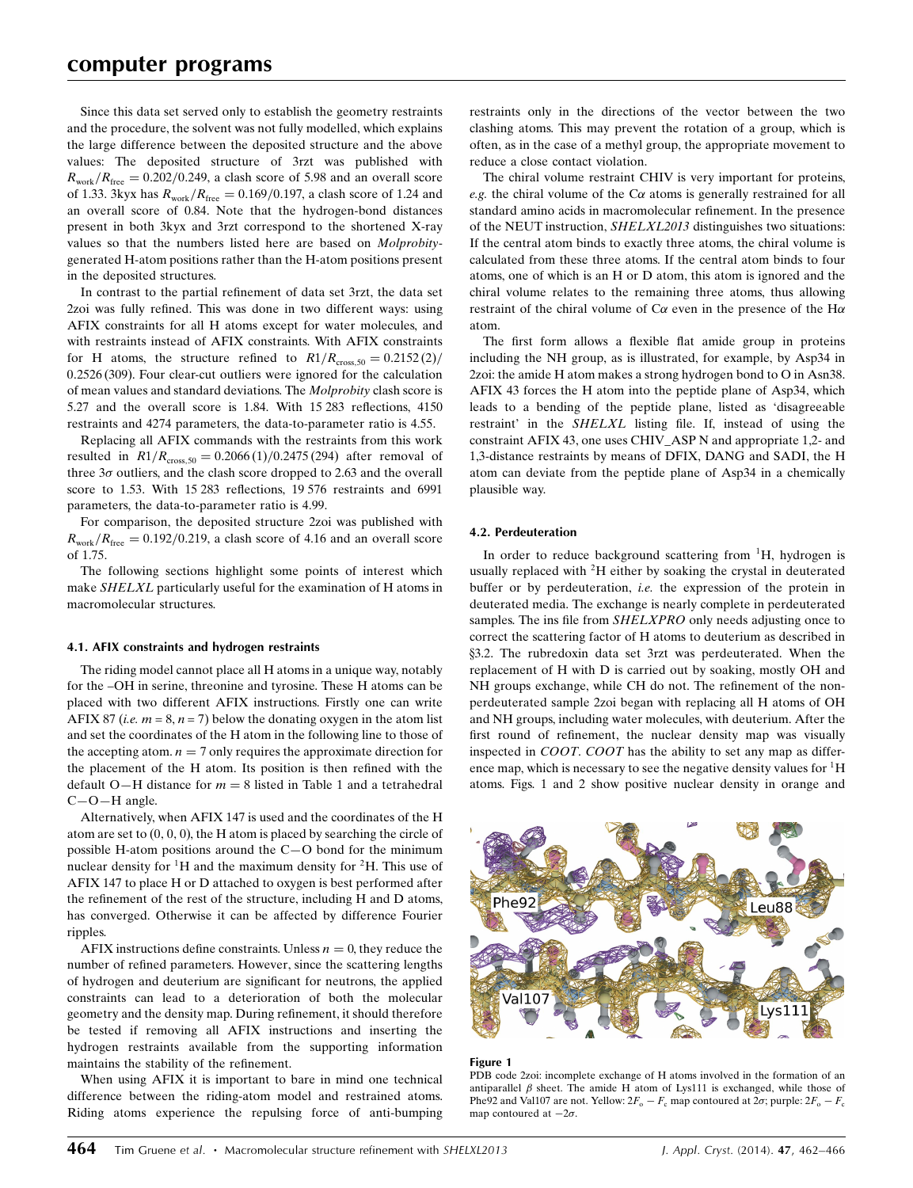Since this data set served only to establish the geometry restraints and the procedure, the solvent was not fully modelled, which explains the large difference between the deposited structure and the above values: The deposited structure of 3rzt was published with  $R_{work}/R_{free} = 0.202/0.249$ , a clash score of 5.98 and an overall score of 1.33. 3kyx has  $R_{work}/R_{free} = 0.169/0.197$ , a clash score of 1.24 and an overall score of 0.84. Note that the hydrogen-bond distances present in both 3kyx and 3rzt correspond to the shortened X-ray values so that the numbers listed here are based on Molprobitygenerated H-atom positions rather than the H-atom positions present in the deposited structures.

In contrast to the partial refinement of data set 3rzt, the data set 2zoi was fully refined. This was done in two different ways: using AFIX constraints for all H atoms except for water molecules, and with restraints instead of AFIX constraints. With AFIX constraints for H atoms, the structure refined to  $R1/R<sub>cross,50</sub> = 0.2152 (2)$ 0.2526 (309). Four clear-cut outliers were ignored for the calculation of mean values and standard deviations. The Molprobity clash score is 5.27 and the overall score is 1.84. With 15 283 reflections, 4150 restraints and 4274 parameters, the data-to-parameter ratio is 4.55.

Replacing all AFIX commands with the restraints from this work resulted in  $R1/R_{cross,50} = 0.2066 (1)/0.2475 (294)$  after removal of three  $3\sigma$  outliers, and the clash score dropped to 2.63 and the overall score to 1.53. With 15 283 reflections, 19 576 restraints and 6991 parameters, the data-to-parameter ratio is 4.99.

For comparison, the deposited structure 2zoi was published with  $R_{work}/R_{free} = 0.192/0.219$ , a clash score of 4.16 and an overall score of 1.75.

The following sections highlight some points of interest which make SHELXL particularly useful for the examination of H atoms in macromolecular structures.

# 4.1. AFIX constraints and hydrogen restraints

The riding model cannot place all H atoms in a unique way, notably for the –OH in serine, threonine and tyrosine. These H atoms can be placed with two different AFIX instructions. Firstly one can write AFIX 87 (*i.e.*  $m = 8$ ,  $n = 7$ ) below the donating oxygen in the atom list and set the coordinates of the H atom in the following line to those of the accepting atom.  $n = 7$  only requires the approximate direction for the placement of the H atom. Its position is then refined with the default O-H distance for  $m = 8$  listed in Table 1 and a tetrahedral C—O—H angle.

Alternatively, when AFIX 147 is used and the coordinates of the H atom are set to  $(0, 0, 0)$ , the H atom is placed by searching the circle of possible H-atom positions around the C—O bond for the minimum nuclear density for  ${}^{1}H$  and the maximum density for  ${}^{2}H$ . This use of AFIX 147 to place H or D attached to oxygen is best performed after the refinement of the rest of the structure, including H and D atoms, has converged. Otherwise it can be affected by difference Fourier ripples.

AFIX instructions define constraints. Unless  $n = 0$ , they reduce the number of refined parameters. However, since the scattering lengths of hydrogen and deuterium are significant for neutrons, the applied constraints can lead to a deterioration of both the molecular geometry and the density map. During refinement, it should therefore be tested if removing all AFIX instructions and inserting the hydrogen restraints available from the supporting information maintains the stability of the refinement.

When using AFIX it is important to bare in mind one technical difference between the riding-atom model and restrained atoms. Riding atoms experience the repulsing force of anti-bumping

restraints only in the directions of the vector between the two clashing atoms. This may prevent the rotation of a group, which is often, as in the case of a methyl group, the appropriate movement to reduce a close contact violation.

The chiral volume restraint CHIV is very important for proteins, e.g. the chiral volume of the  $C\alpha$  atoms is generally restrained for all standard amino acids in macromolecular refinement. In the presence of the NEUT instruction, SHELXL2013 distinguishes two situations: If the central atom binds to exactly three atoms, the chiral volume is calculated from these three atoms. If the central atom binds to four atoms, one of which is an H or D atom, this atom is ignored and the chiral volume relates to the remaining three atoms, thus allowing restraint of the chiral volume of  $C\alpha$  even in the presence of the H $\alpha$ atom.

The first form allows a flexible flat amide group in proteins including the NH group, as is illustrated, for example, by Asp34 in 2zoi: the amide H atom makes a strong hydrogen bond to O in Asn38. AFIX 43 forces the H atom into the peptide plane of Asp34, which leads to a bending of the peptide plane, listed as 'disagreeable restraint' in the SHELXL listing file. If, instead of using the constraint AFIX 43, one uses CHIV\_ASP N and appropriate 1,2- and 1,3-distance restraints by means of DFIX, DANG and SADI, the H atom can deviate from the peptide plane of Asp34 in a chemically plausible way.

# 4.2. Perdeuteration

In order to reduce background scattering from  ${}^{1}H$ , hydrogen is usually replaced with  ${}^{2}H$  either by soaking the crystal in deuterated buffer or by perdeuteration, i.e. the expression of the protein in deuterated media. The exchange is nearly complete in perdeuterated samples. The ins file from SHELXPRO only needs adjusting once to correct the scattering factor of H atoms to deuterium as described in x3.2. The rubredoxin data set 3rzt was perdeuterated. When the replacement of H with D is carried out by soaking, mostly OH and NH groups exchange, while CH do not. The refinement of the nonperdeuterated sample 2zoi began with replacing all H atoms of OH and NH groups, including water molecules, with deuterium. After the first round of refinement, the nuclear density map was visually inspected in COOT. COOT has the ability to set any map as difference map, which is necessary to see the negative density values for  ${}^{1}H$ atoms. Figs. 1 and 2 show positive nuclear density in orange and



# Figure 1

PDB code 2zoi: incomplete exchange of H atoms involved in the formation of an antiparallel  $\beta$  sheet. The amide H atom of Lys111 is exchanged, while those of Phe92 and Val107 are not. Yellow:  $2F_o - F_c$  map contoured at  $2\sigma$ ; purple:  $2F_o - F_c$ map contoured at  $-2\sigma$ .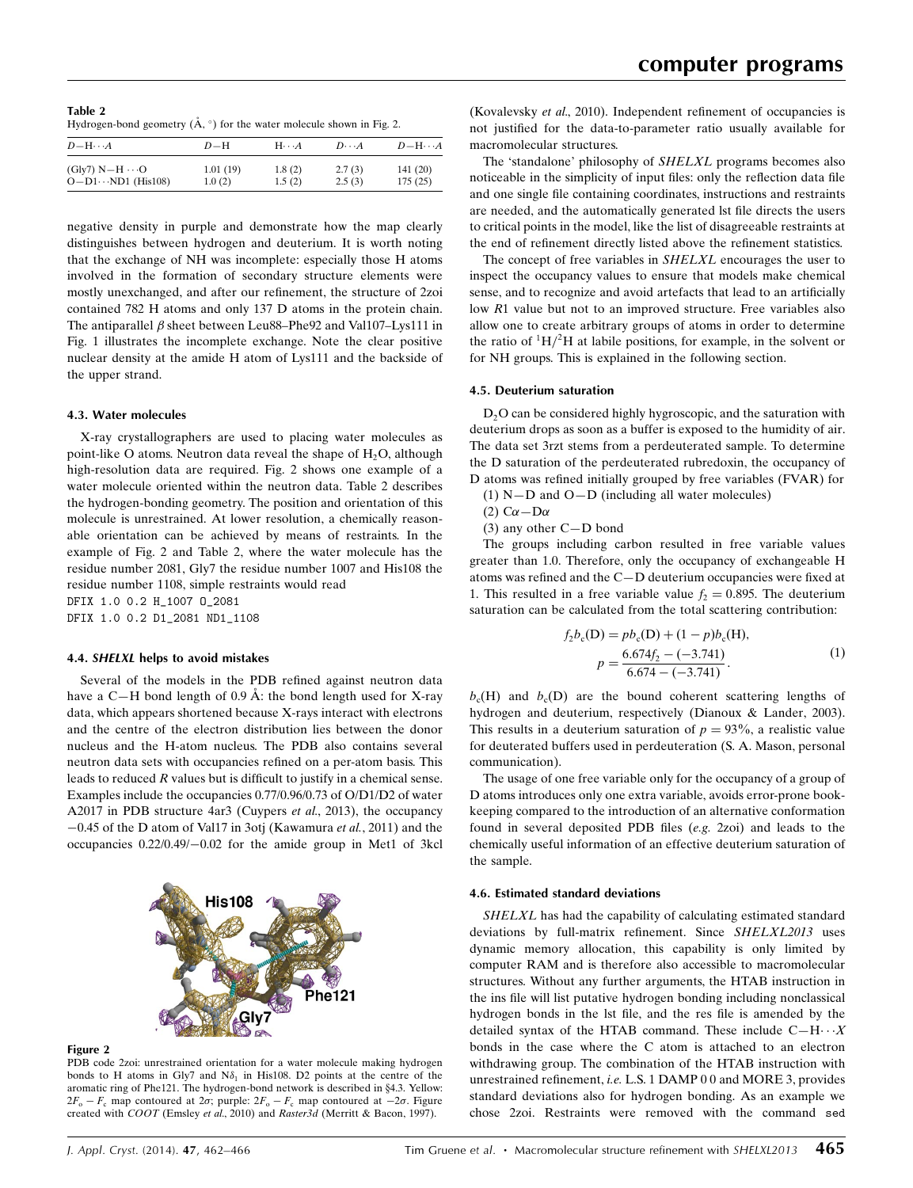Table 2 Hydrogen-bond geometry  $(\mathring{A}, \circ)$  for the water molecule shown in Fig. 2.

| $D$ -H $\cdots$ A          | $D-H$    | $H\cdots A$ | $D\cdots A$ | $D - H \cdots A$ |
|----------------------------|----------|-------------|-------------|------------------|
| $(Gly7) N-H \cdots$ O      | 1.01(19) | 1.8(2)      | 2.7(3)      | 141(20)          |
| $O-D1 \cdots ND1$ (His108) | 1.0(2)   | 1.5(2)      | 2.5(3)      | 175(25)          |

negative density in purple and demonstrate how the map clearly distinguishes between hydrogen and deuterium. It is worth noting that the exchange of NH was incomplete: especially those H atoms involved in the formation of secondary structure elements were mostly unexchanged, and after our refinement, the structure of 2zoi contained 782 H atoms and only 137 D atoms in the protein chain. The antiparallel  $\beta$  sheet between Leu88–Phe92 and Val107–Lys111 in Fig. 1 illustrates the incomplete exchange. Note the clear positive nuclear density at the amide H atom of Lys111 and the backside of the upper strand.

# 4.3. Water molecules

X-ray crystallographers are used to placing water molecules as point-like O atoms. Neutron data reveal the shape of  $H_2O$ , although high-resolution data are required. Fig. 2 shows one example of a water molecule oriented within the neutron data. Table 2 describes the hydrogen-bonding geometry. The position and orientation of this molecule is unrestrained. At lower resolution, a chemically reasonable orientation can be achieved by means of restraints. In the example of Fig. 2 and Table 2, where the water molecule has the residue number 2081, Gly7 the residue number 1007 and His108 the residue number 1108, simple restraints would read DFIX 1.0 0.2 H\_1007 O\_2081

DFIX 1.0 0.2 D1\_2081 ND1\_1108

# 4.4. SHELXL helps to avoid mistakes

Several of the models in the PDB refined against neutron data have a C—H bond length of 0.9 Å: the bond length used for X-ray data, which appears shortened because X-rays interact with electrons and the centre of the electron distribution lies between the donor nucleus and the H-atom nucleus. The PDB also contains several neutron data sets with occupancies refined on a per-atom basis. This leads to reduced R values but is difficult to justify in a chemical sense. Examples include the occupancies 0.77/0.96/0.73 of O/D1/D2 of water A2017 in PDB structure 4ar3 (Cuypers et al., 2013), the occupancy -0.45 of the D atom of Val17 in 3otj (Kawamura et al., 2011) and the occupancies 0.22/0.49/-0.02 for the amide group in Met1 of 3kcl



# Figure 2

PDB code 2zoi: unrestrained orientation for a water molecule making hydrogen bonds to H atoms in Gly7 and  $N\delta_1$  in His108. D2 points at the centre of the aromatic ring of Phe121. The hydrogen-bond network is described in §4.3. Yellow:  $2F_o - F_c$  map contoured at  $2\sigma$ ; purple:  $2F_o - F_c$  map contoured at  $-2\sigma$ . Figure created with COOT (Emsley et al., 2010) and Raster3d (Merritt & Bacon, 1997).

(Kovalevsky et al., 2010). Independent refinement of occupancies is not justified for the data-to-parameter ratio usually available for macromolecular structures.

The 'standalone' philosophy of SHELXL programs becomes also noticeable in the simplicity of input files: only the reflection data file and one single file containing coordinates, instructions and restraints are needed, and the automatically generated lst file directs the users to critical points in the model, like the list of disagreeable restraints at the end of refinement directly listed above the refinement statistics.

The concept of free variables in SHELXL encourages the user to inspect the occupancy values to ensure that models make chemical sense, and to recognize and avoid artefacts that lead to an artificially low R1 value but not to an improved structure. Free variables also allow one to create arbitrary groups of atoms in order to determine the ratio of  ${}^{1}H/{}^{2}H$  at labile positions, for example, in the solvent or for NH groups. This is explained in the following section.

# 4.5. Deuterium saturation

D<sub>2</sub>O can be considered highly hygroscopic, and the saturation with deuterium drops as soon as a buffer is exposed to the humidity of air. The data set 3rzt stems from a perdeuterated sample. To determine the D saturation of the perdeuterated rubredoxin, the occupancy of D atoms was refined initially grouped by free variables (FVAR) for

- $(1)$  N-D and O-D (including all water molecules)
- (2)  $C\alpha D\alpha$
- (3) any other C—D bond

The groups including carbon resulted in free variable values greater than 1.0. Therefore, only the occupancy of exchangeable H atoms was refined and the C—D deuterium occupancies were fixed at 1. This resulted in a free variable value  $f<sub>2</sub> = 0.895$ . The deuterium saturation can be calculated from the total scattering contribution:

$$
f_2 b_c(D) = p b_c(D) + (1 - p) b_c(H),
$$
  
\n
$$
p = \frac{6.674 f_2 - (-3.741)}{6.674 - (-3.741)}.
$$
\n(1)

 $b_c(H)$  and  $b_c(D)$  are the bound coherent scattering lengths of hydrogen and deuterium, respectively (Dianoux & Lander, 2003). This results in a deuterium saturation of  $p = 93\%$ , a realistic value for deuterated buffers used in perdeuteration (S. A. Mason, personal communication).

The usage of one free variable only for the occupancy of a group of D atoms introduces only one extra variable, avoids error-prone bookkeeping compared to the introduction of an alternative conformation found in several deposited PDB files (e.g. 2zoi) and leads to the chemically useful information of an effective deuterium saturation of the sample.

# 4.6. Estimated standard deviations

SHELXL has had the capability of calculating estimated standard deviations by full-matrix refinement. Since SHELXL2013 uses dynamic memory allocation, this capability is only limited by computer RAM and is therefore also accessible to macromolecular structures. Without any further arguments, the HTAB instruction in the ins file will list putative hydrogen bonding including nonclassical hydrogen bonds in the lst file, and the res file is amended by the detailed syntax of the HTAB command. These include  $C-H\cdots X$ bonds in the case where the C atom is attached to an electron withdrawing group. The combination of the HTAB instruction with unrestrained refinement, i.e. L.S. 1 DAMP 0 0 and MORE 3, provides standard deviations also for hydrogen bonding. As an example we chose 2zoi. Restraints were removed with the command sed